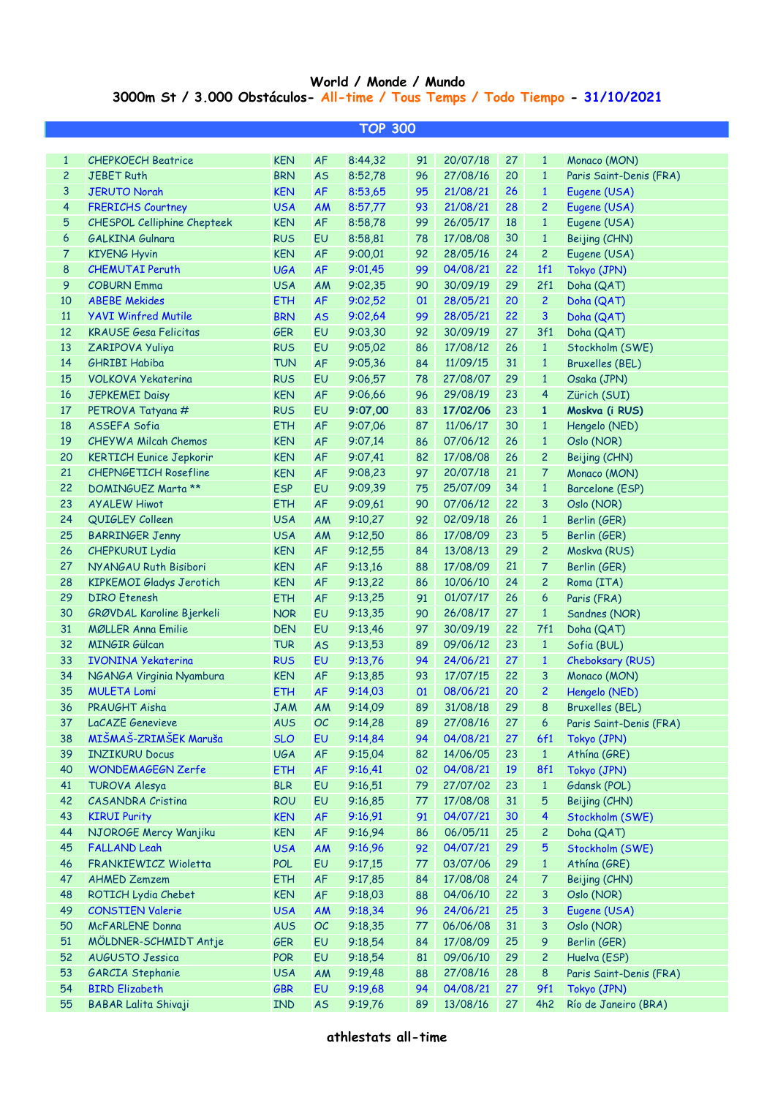## **World / Monde / Mundo 3000m St / 3.000 Obstáculos- All-time / Tous Temps / Todo Tiempo - 31/10/2021**

| <b>TOP 300</b> |                                                            |                          |                 |                    |          |                      |          |                |                               |  |
|----------------|------------------------------------------------------------|--------------------------|-----------------|--------------------|----------|----------------------|----------|----------------|-------------------------------|--|
|                |                                                            |                          |                 |                    |          |                      |          |                |                               |  |
| $\mathbf{1}$   | <b>CHEPKOECH Beatrice</b>                                  | <b>KEN</b>               | <b>AF</b>       | 8:44,32            | 91       | 20/07/18             | 27       | $\mathbf{1}$   | Monaco (MON)                  |  |
| 2              | <b>JEBET Ruth</b>                                          | <b>BRN</b>               | <b>AS</b>       | 8:52,78            | 96       | 27/08/16             | 20       | $\mathbf{1}$   | Paris Saint-Denis (FRA)       |  |
| 3              | <b>JERUTO Norah</b>                                        | <b>KEN</b>               | <b>AF</b>       | 8:53,65            | 95       | 21/08/21             | 26       | $\mathbf{1}$   | Eugene (USA)                  |  |
| 4              | <b>FRERICHS Courtney</b>                                   | <b>USA</b>               | AM              | 8:57,77            | 93       | 21/08/21             | 28       | $\overline{c}$ | Eugene (USA)                  |  |
| 5              | CHESPOL Celliphine Chepteek                                | <b>KEN</b>               | AF              | 8:58,78            | 99       | 26/05/17             | 18       | $\mathbf{1}$   | Eugene (USA)                  |  |
| 6              | <b>GALKINA Gulnara</b>                                     | <b>RUS</b>               | EU              | 8:58,81            | 78       | 17/08/08             | 30       | $\mathbf{1}$   | Beijing (CHN)                 |  |
| 7              | <b>KIYENG Hyvin</b>                                        | <b>KEN</b>               | <b>AF</b>       | 9:00,01            | 92       | 28/05/16             | 24       | 2              | Eugene (USA)                  |  |
| 8              | <b>CHEMUTAI Peruth</b>                                     | <b>UGA</b>               | <b>AF</b>       | 9:01,45            | 99       | 04/08/21             | 22       | 1f1            | Tokyo (JPN)                   |  |
| 9              | <b>COBURN Emma</b>                                         | <b>USA</b>               | AM              | 9:02,35            | 90       | 30/09/19             | 29       | 2f1            | Doha (QAT)                    |  |
| 10<br>11       | <b>ABEBE Mekides</b>                                       | <b>ETH</b><br><b>BRN</b> | <b>AF</b>       | 9:02,52            | 01       | 28/05/21             | 20<br>22 | $\overline{c}$ | Doha (QAT)                    |  |
| 12             | <b>YAVI Winfred Mutile</b><br><b>KRAUSE Gesa Felicitas</b> | <b>GER</b>               | <b>AS</b><br>EU | 9:02,64            | 99<br>92 | 28/05/21<br>30/09/19 | 27       | 3<br>3f1       | Doha (QAT)                    |  |
| 13             | ZARIPOVA Yuliya                                            | <b>RUS</b>               | EU              | 9:03,30<br>9:05,02 | 86       | 17/08/12             | 26       | $\mathbf{1}$   | Doha (QAT)<br>Stockholm (SWE) |  |
| 14             | <b>GHRIBI Habiba</b>                                       | <b>TUN</b>               | <b>AF</b>       | 9:05,36            | 84       | 11/09/15             | 31       | $\mathbf{1}$   | Bruxelles (BEL)               |  |
| 15             | <b>VOLKOVA Yekaterina</b>                                  | <b>RUS</b>               | EU              | 9:06,57            | 78       | 27/08/07             | 29       | $\mathbf{1}$   | Osaka (JPN)                   |  |
| 16             | <b>JEPKEMEI Daisy</b>                                      | <b>KEN</b>               | <b>AF</b>       | 9:06,66            | 96       | 29/08/19             | 23       | 4              | Zürich (SUI)                  |  |
| 17             | PETROVA Tatyana #                                          | <b>RUS</b>               | EU              | 9:07,00            | 83       | 17/02/06             | 23       | 1              | Moskva (i RUS)                |  |
| 18             | ASSEFA Sofia                                               | <b>ETH</b>               | <b>AF</b>       | 9:07,06            | 87       | 11/06/17             | 30       | $\mathbf{1}$   | Hengelo (NED)                 |  |
| 19             | <b>CHEYWA Milcah Chemos</b>                                | <b>KEN</b>               | <b>AF</b>       | 9:07,14            | 86       | 07/06/12             | 26       | $\mathbf{1}$   | Oslo (NOR)                    |  |
| 20             | <b>KERTICH Eunice Jepkorir</b>                             | <b>KEN</b>               | <b>AF</b>       | 9:07,41            | 82       | 17/08/08             | 26       | 2              | Beijing (CHN)                 |  |
| 21             | <b>CHEPNGETICH Rosefline</b>                               | <b>KEN</b>               | <b>AF</b>       | 9:08,23            | 97       | 20/07/18             | 21       | 7              | Monaco (MON)                  |  |
| 22             | <b>DOMINGUEZ Marta **</b>                                  | <b>ESP</b>               | EU              | 9:09,39            | 75       | 25/07/09             | 34       | $\mathbf{1}$   | Barcelone (ESP)               |  |
| 23             | <b>AYALEW Hiwot</b>                                        | <b>ETH</b>               | <b>AF</b>       | 9:09,61            | 90       | 07/06/12             | 22       | 3              | Oslo (NOR)                    |  |
| 24             | QUIGLEY Colleen                                            | <b>USA</b>               | AM              | 9:10,27            | 92       | 02/09/18             | 26       | $\mathbf{1}$   | Berlin (GER)                  |  |
| 25             | <b>BARRINGER Jenny</b>                                     | <b>USA</b>               | AM              | 9:12,50            | 86       | 17/08/09             | 23       | 5              | Berlin (GER)                  |  |
| 26             | <b>CHEPKURUI Lydia</b>                                     | <b>KEN</b>               | AF              | 9:12,55            | 84       | 13/08/13             | 29       | $\mathbf{2}$   | Moskva (RUS)                  |  |
| 27             | NYANGAU Ruth Bisibori                                      | <b>KEN</b>               | <b>AF</b>       | 9:13,16            | 88       | 17/08/09             | 21       | 7              | Berlin (GER)                  |  |
| 28             | <b>KIPKEMOI Gladys Jerotich</b>                            | <b>KEN</b>               | <b>AF</b>       | 9:13,22            | 86       | 10/06/10             | 24       | 2              | Roma (ITA)                    |  |
| 29             | <b>DIRO</b> Etenesh                                        | <b>ETH</b>               | <b>AF</b>       | 9:13,25            | 91       | 01/07/17             | 26       | 6              | Paris (FRA)                   |  |
| 30             | GRØVDAL Karoline Bjerkeli                                  | <b>NOR</b>               | EU              | 9:13,35            | 90       | 26/08/17             | 27       | $\mathbf{1}$   | Sandnes (NOR)                 |  |
| 31             | <b>MØLLER Anna Emilie</b>                                  | <b>DEN</b>               | EU              | 9:13,46            | 97       | 30/09/19             | 22       | 7f1            | Doha (QAT)                    |  |
| 32             | <b>MINGIR Gülcan</b>                                       | <b>TUR</b>               | <b>AS</b>       | 9:13,53            | 89       | 09/06/12             | 23       | $\mathbf{1}$   | Sofia (BUL)                   |  |
| 33             | <b>IVONINA Yekaterina</b>                                  | <b>RUS</b>               | EU              | 9:13,76            | 94       | 24/06/21             | 27       | $\mathbf{1}$   | Cheboksary (RUS)              |  |
| 34             | NGANGA Virginia Nyambura                                   | <b>KEN</b>               | <b>AF</b>       | 9:13,85            | 93       | 17/07/15             | 22       | 3              | Monaco (MON)                  |  |
| 35             | <b>MULETA Lomi</b>                                         | <b>ETH</b>               | <b>AF</b>       | 9:14,03            | 01       | 08/06/21             | 20       | $\overline{c}$ | Hengelo (NED)                 |  |
| 36             | PRAUGHT Aisha                                              | <b>JAM</b>               | AM              | 9:14,09            | 89       | 31/08/18             | 29       | 8              | <b>Bruxelles (BEL)</b>        |  |
| 37             | LaCAZE Genevieve                                           | <b>AUS</b>               | OC              | 9:14,28            | 89       | 27/08/16             | 27       | 6              | Paris Saint-Denis (FRA)       |  |
| 38             | MIŠMAŠ-ZRIMŠEK Maruša                                      | <b>SLO</b>               | EU              | 9:14,84            | 94       | 04/08/21             | 27       | 6f1            | Tokyo (JPN)                   |  |
| 39             | <b>INZIKURU Docus</b>                                      | <b>UGA</b>               | AF              | 9:15,04            | 82       | 14/06/05             | 23       | $\mathbf{1}$   | Athína (GRE)                  |  |
| 40             | WONDEMAGEGN Zerfe                                          | <b>ETH</b>               | AF              | 9:16,41            | 02       | 04/08/21             | 19       | <b>8f1</b>     | Tokyo (JPN)                   |  |
| 41             | <b>TUROVA Alesya</b>                                       | <b>BLR</b>               | EU              | 9:16,51            | 79       | 27/07/02             | 23       | $\mathbf{1}$   | Gdansk (POL)                  |  |
| 42             | <b>CASANDRA Cristina</b>                                   | <b>ROU</b>               | EU              | 9:16,85            | 77       | 17/08/08             | 31       | 5              | Beijing (CHN)                 |  |
| 43             | <b>KIRUI Purity</b>                                        | <b>KEN</b>               | AF              | 9:16,91            | 91       | 04/07/21             | 30       | 4              | Stockholm (SWE)               |  |
| 44             | NJOROGE Mercy Wanjiku                                      | <b>KEN</b>               | AF              | 9:16,94            | 86       | 06/05/11             | 25       | 2              | Doha (QAT)                    |  |
| 45             | <b>FALLAND Leah</b>                                        | <b>USA</b>               | AM              | 9:16,96            | 92       | 04/07/21             | 29       | 5              | Stockholm (SWE)               |  |
| 46             | FRANKIEWICZ Wioletta                                       | <b>POL</b>               | EU              | 9:17,15            | 77       | 03/07/06             | 29       | $\mathbf{1}$   | Athína (GRE)                  |  |
| 47             | <b>AHMED Zemzem</b>                                        | <b>ETH</b>               | AF              | 9:17,85            | 84       | 17/08/08             | 24       | 7              | Beijing (CHN)                 |  |
| 48             | ROTICH Lydia Chebet                                        | <b>KEN</b>               | AF              | 9:18,03            | 88       | 04/06/10             | 22       | 3              | Oslo (NOR)                    |  |
| 49             | <b>CONSTIEN Valerie</b>                                    | <b>USA</b>               | <b>AM</b>       | 9:18,34            | 96       | 24/06/21             | 25       | 3              | Eugene (USA)                  |  |
| 50             | <b>McFARLENE Donna</b>                                     | <b>AUS</b>               | OC              | 9:18,35            | 77       | 06/06/08             | 31       | 3              | Oslo (NOR)                    |  |
| 51             | MÖLDNER-SCHMIDT Antje                                      | <b>GER</b>               | EU              | 9:18,54            | 84       | 17/08/09             | 25       | 9              | Berlin (GER)                  |  |
| 52             | <b>AUGUSTO Jessica</b>                                     | <b>POR</b>               | EU              | 9:18,54            | 81       | 09/06/10             | 29       | $\overline{c}$ | Huelva (ESP)                  |  |
| 53             | <b>GARCIA Stephanie</b>                                    | <b>USA</b>               | AM              | 9:19,48            | 88       | 27/08/16             | 28       | 8              | Paris Saint-Denis (FRA)       |  |
| 54             | <b>BIRD Elizabeth</b>                                      | <b>GBR</b>               | EU              | 9:19,68            | 94       | 04/08/21             | 27       | 9f1            | Tokyo (JPN)                   |  |
| 55             | <b>BABAR Lalita Shivaji</b>                                | <b>IND</b>               | <b>AS</b>       | 9:19,76            | 89       | 13/08/16             | 27       | 4h2            | Río de Janeiro (BRA)          |  |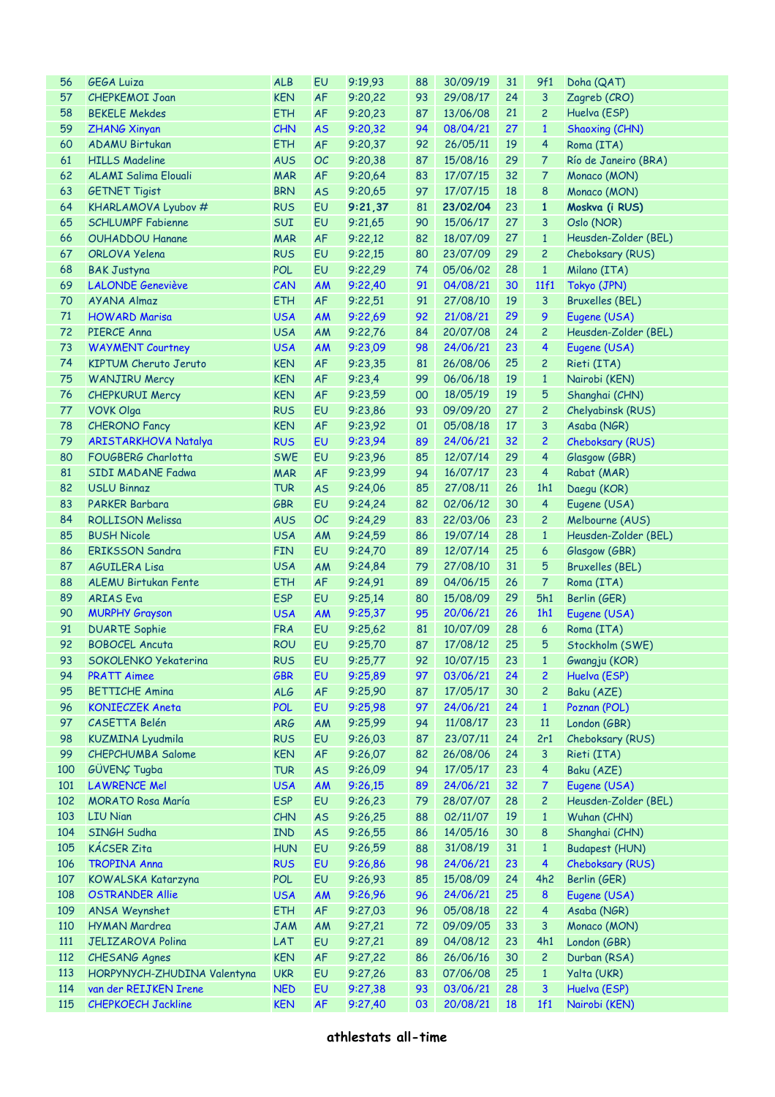| 56  | <b>GEGA Luiza</b>            | <b>ALB</b> | EU        | 9:19,93 | 88 | 30/09/19 | 31 | 9f1                         | Doha (QAT)             |
|-----|------------------------------|------------|-----------|---------|----|----------|----|-----------------------------|------------------------|
| 57  | <b>CHEPKEMOI Joan</b>        | <b>KEN</b> | AF        | 9:20,22 | 93 | 29/08/17 | 24 | 3                           | Zagreb (CRO)           |
| 58  | <b>BEKELE Mekdes</b>         | <b>ETH</b> | AF        | 9:20,23 | 87 | 13/06/08 | 21 | $\overline{c}$              | Huelva (ESP)           |
| 59  | <b>ZHANG Xinyan</b>          | <b>CHN</b> | <b>AS</b> | 9:20,32 | 94 | 08/04/21 | 27 | $\mathbf{1}$                | Shaoxing (CHN)         |
| 60  | <b>ADAMU Birtukan</b>        | <b>ETH</b> |           |         | 92 | 26/05/11 | 19 | 4                           |                        |
|     |                              |            | AF        | 9:20,37 |    |          |    |                             | Roma (ITA)             |
| 61  | <b>HILLS Madeline</b>        | <b>AUS</b> | OC        | 9:20,38 | 87 | 15/08/16 | 29 | 7                           | Río de Janeiro (BRA)   |
| 62  | <b>ALAMI Salima Elouali</b>  | <b>MAR</b> | AF        | 9:20,64 | 83 | 17/07/15 | 32 | $\mathcal{L}_{\mathcal{L}}$ | Monaco (MON)           |
| 63  | <b>GETNET Tigist</b>         | <b>BRN</b> | <b>AS</b> | 9:20,65 | 97 | 17/07/15 | 18 | 8                           | Monaco (MON)           |
| 64  | KHARLAMOVA Lyubov #          | <b>RUS</b> | EU        | 9:21,37 | 81 | 23/02/04 | 23 | $\mathbf{1}$                | Moskva (i RUS)         |
| 65  | <b>SCHLUMPF Fabienne</b>     | SUI        | EU        | 9:21,65 | 90 | 15/06/17 | 27 | 3                           | Oslo (NOR)             |
| 66  | <b>OUHADDOU Hanane</b>       | <b>MAR</b> | AF        | 9:22,12 | 82 | 18/07/09 | 27 | $\mathbf{1}$                | Heusden-Zolder (BEL)   |
| 67  | <b>ORLOVA Yelena</b>         | <b>RUS</b> | EU        | 9:22,15 | 80 | 23/07/09 | 29 | $\overline{c}$              | Cheboksary (RUS)       |
| 68  | <b>BAK Justyna</b>           | <b>POL</b> | EU        | 9:22,29 | 74 | 05/06/02 | 28 | $\mathbf{1}$                | Milano (ITA)           |
| 69  | <b>LALONDE Geneviève</b>     | CAN        | AM        | 9:22,40 | 91 | 04/08/21 | 30 | 11f1                        | Tokyo (JPN)            |
| 70  | <b>AYANA Almaz</b>           | <b>ETH</b> | AF        | 9:22,51 | 91 | 27/08/10 | 19 | 3                           | <b>Bruxelles (BEL)</b> |
| 71  | <b>HOWARD Marisa</b>         | <b>USA</b> | AM        | 9:22,69 | 92 | 21/08/21 | 29 | 9                           | Eugene (USA)           |
|     |                              |            |           |         |    |          |    |                             |                        |
| 72  | PIERCE Anna                  | <b>USA</b> | AM        | 9:22,76 | 84 | 20/07/08 | 24 | $\overline{c}$              | Heusden-Zolder (BEL)   |
| 73  | <b>WAYMENT Courtney</b>      | <b>USA</b> | AM        | 9:23,09 | 98 | 24/06/21 | 23 | 4                           | Eugene (USA)           |
| 74  | <b>KIPTUM Cheruto Jeruto</b> | <b>KEN</b> | AF        | 9:23,35 | 81 | 26/08/06 | 25 | $\overline{c}$              | Rieti (ITA)            |
| 75  | <b>WANJIRU Mercy</b>         | <b>KEN</b> | AF        | 9:23,4  | 99 | 06/06/18 | 19 | $\mathbf{1}$                | Nairobi (KEN)          |
| 76  | <b>CHEPKURUI Mercy</b>       | <b>KEN</b> | AF        | 9:23,59 | 00 | 18/05/19 | 19 | 5                           | Shanghai (CHN)         |
| 77  | <b>VOVK Olga</b>             | <b>RUS</b> | EU        | 9:23,86 | 93 | 09/09/20 | 27 | $\overline{c}$              | Chelyabinsk (RUS)      |
| 78  | <b>CHERONO Fancy</b>         | <b>KEN</b> | AF        | 9:23,92 | 01 | 05/08/18 | 17 | 3                           | Asaba (NGR)            |
| 79  | <b>ARISTARKHOVA Natalya</b>  | <b>RUS</b> | EU        | 9:23,94 | 89 | 24/06/21 | 32 | $\overline{c}$              | Cheboksary (RUS)       |
| 80  | FOUGBERG Charlotta           | <b>SWE</b> | EU        | 9:23,96 | 85 | 12/07/14 | 29 | 4                           | Glasgow (GBR)          |
| 81  | <b>SIDI MADANE Fadwa</b>     | <b>MAR</b> | AF        | 9:23,99 | 94 | 16/07/17 | 23 | $\overline{4}$              | Rabat (MAR)            |
| 82  | <b>USLU Binnaz</b>           | <b>TUR</b> | <b>AS</b> | 9:24,06 | 85 | 27/08/11 | 26 | 1h1                         | Daegu (KOR)            |
| 83  | <b>PARKER Barbara</b>        | <b>GBR</b> | EU        | 9:24,24 | 82 | 02/06/12 | 30 | 4                           | Eugene (USA)           |
|     |                              |            |           |         |    |          |    |                             |                        |
| 84  | <b>ROLLISON Melissa</b>      | <b>AUS</b> | <b>OC</b> | 9:24,29 | 83 | 22/03/06 | 23 | $\overline{c}$              | Melbourne (AUS)        |
| 85  | <b>BUSH Nicole</b>           | <b>USA</b> | AM        | 9:24,59 | 86 | 19/07/14 | 28 | $\mathbf{1}$                | Heusden-Zolder (BEL)   |
| 86  | <b>ERIKSSON Sandra</b>       | <b>FIN</b> | EU        | 9:24,70 | 89 | 12/07/14 | 25 | 6                           | Glasgow (GBR)          |
| 87  | <b>AGUILERA Lisa</b>         | <b>USA</b> | AM        | 9:24,84 | 79 | 27/08/10 | 31 | 5                           | <b>Bruxelles (BEL)</b> |
| 88  | ALEMU Birtukan Fente         | <b>ETH</b> | AF        | 9:24,91 | 89 | 04/06/15 | 26 | $\mathcal T$                | Roma (ITA)             |
| 89  | <b>ARIAS</b> Eva             | <b>ESP</b> | EU        | 9:25,14 | 80 | 15/08/09 | 29 | 5h1                         | Berlin (GER)           |
| 90  | <b>MURPHY Grayson</b>        | <b>USA</b> | AM        | 9:25,37 | 95 | 20/06/21 | 26 | 1h1                         | Eugene (USA)           |
| 91  | <b>DUARTE Sophie</b>         | <b>FRA</b> | EU        | 9:25,62 | 81 | 10/07/09 | 28 | 6                           | Roma (ITA)             |
| 92  | <b>BOBOCEL Ancuta</b>        | <b>ROU</b> | EU        | 9:25,70 | 87 | 17/08/12 | 25 | 5                           | Stockholm (SWE)        |
| 93  | SOKOLENKO Yekaterina         | <b>RUS</b> | EU        | 9:25,77 | 92 | 10/07/15 | 23 |                             | 1 Gwangju (KOR)        |
| 94  | <b>PRATT Aimee</b>           | <b>GBR</b> | EU        | 9:25,89 | 97 | 03/06/21 | 24 | $\overline{c}$              | Huelva (ESP)           |
| 95  | <b>BETTICHE Amina</b>        | <b>ALG</b> | AF        | 9:25,90 | 87 | 17/05/17 | 30 | $\overline{c}$              | Baku (AZE)             |
| 96  | <b>KONIECZEK Aneta</b>       | <b>POL</b> | EU        | 9:25,98 | 97 | 24/06/21 | 24 | $\mathbf{1}$                | Poznan (POL)           |
| 97  | CASETTA Belén                | <b>ARG</b> | AM        | 9:25,99 | 94 | 11/08/17 | 23 | 11                          | London (GBR)           |
| 98  | <b>KUZMINA Lyudmila</b>      | <b>RUS</b> | EU        | 9:26,03 | 87 | 23/07/11 | 24 | 2r1                         | Cheboksary (RUS)       |
| 99  |                              |            |           |         |    |          |    |                             |                        |
|     | <b>CHEPCHUMBA Salome</b>     | <b>KEN</b> | AF        | 9:26,07 | 82 | 26/08/06 | 24 | 3                           | Rieti (ITA)            |
| 100 | GÜVENÇ Tugba                 | <b>TUR</b> | <b>AS</b> | 9:26,09 | 94 | 17/05/17 | 23 | 4                           | Baku (AZE)             |
| 101 | <b>LAWRENCE Mel</b>          | <b>USA</b> | AM        | 9:26,15 | 89 | 24/06/21 | 32 | $\overline{7}$              | Eugene (USA)           |
| 102 | <b>MORATO Rosa María</b>     | <b>ESP</b> | EU        | 9:26,23 | 79 | 28/07/07 | 28 | $\overline{c}$              | Heusden-Zolder (BEL)   |
| 103 | <b>LIU Nian</b>              | CHN        | <b>AS</b> | 9:26,25 | 88 | 02/11/07 | 19 | $\mathbf{1}$                | Wuhan (CHN)            |
| 104 | SINGH Sudha                  | <b>IND</b> | <b>AS</b> | 9:26,55 | 86 | 14/05/16 | 30 | 8                           | Shanghai (CHN)         |
| 105 | <b>KÁCSER Zita</b>           | <b>HUN</b> | EU        | 9:26,59 | 88 | 31/08/19 | 31 | $\mathbf{1}$                | <b>Budapest (HUN)</b>  |
| 106 | <b>TROPINA Anna</b>          | <b>RUS</b> | EU        | 9:26,86 | 98 | 24/06/21 | 23 | $\overline{4}$              | Cheboksary (RUS)       |
| 107 | KOWALSKA Katarzyna           | <b>POL</b> | EU        | 9:26,93 | 85 | 15/08/09 | 24 | 4h2                         | Berlin (GER)           |
| 108 | <b>OSTRANDER Allie</b>       | <b>USA</b> | AM        | 9:26,96 | 96 | 24/06/21 | 25 | 8                           | Eugene (USA)           |
| 109 | ANSA Weynshet                | <b>ETH</b> | AF        | 9:27,03 | 96 | 05/08/18 | 22 | 4                           | Asaba (NGR)            |
| 110 | <b>HYMAN Mardrea</b>         | <b>JAM</b> | <b>AM</b> | 9:27,21 | 72 | 09/09/05 | 33 | 3                           | Monaco (MON)           |
| 111 | <b>JELIZAROVA Polina</b>     | LAT        | EU        | 9:27,21 | 89 | 04/08/12 | 23 | 4h1                         | London (GBR)           |
| 112 |                              |            | AF        |         |    |          | 30 |                             |                        |
|     | <b>CHESANG Agnes</b>         | <b>KEN</b> |           | 9:27,22 | 86 | 26/06/16 |    | $\overline{c}$              | Durban (RSA)           |
| 113 | HORPYNYCH-ZHUDINA Valentyna  | <b>UKR</b> | EU        | 9:27,26 | 83 | 07/06/08 | 25 | $\mathbf{1}$                | Yalta (UKR)            |
| 114 | van der REIJKEN Irene        | <b>NED</b> | EU        | 9:27,38 | 93 | 03/06/21 | 28 | 3                           | Huelva (ESP)           |
| 115 | <b>CHEPKOECH Jackline</b>    | <b>KEN</b> | <b>AF</b> | 9:27,40 | 03 | 20/08/21 | 18 | 1f1                         | Nairobi (KEN)          |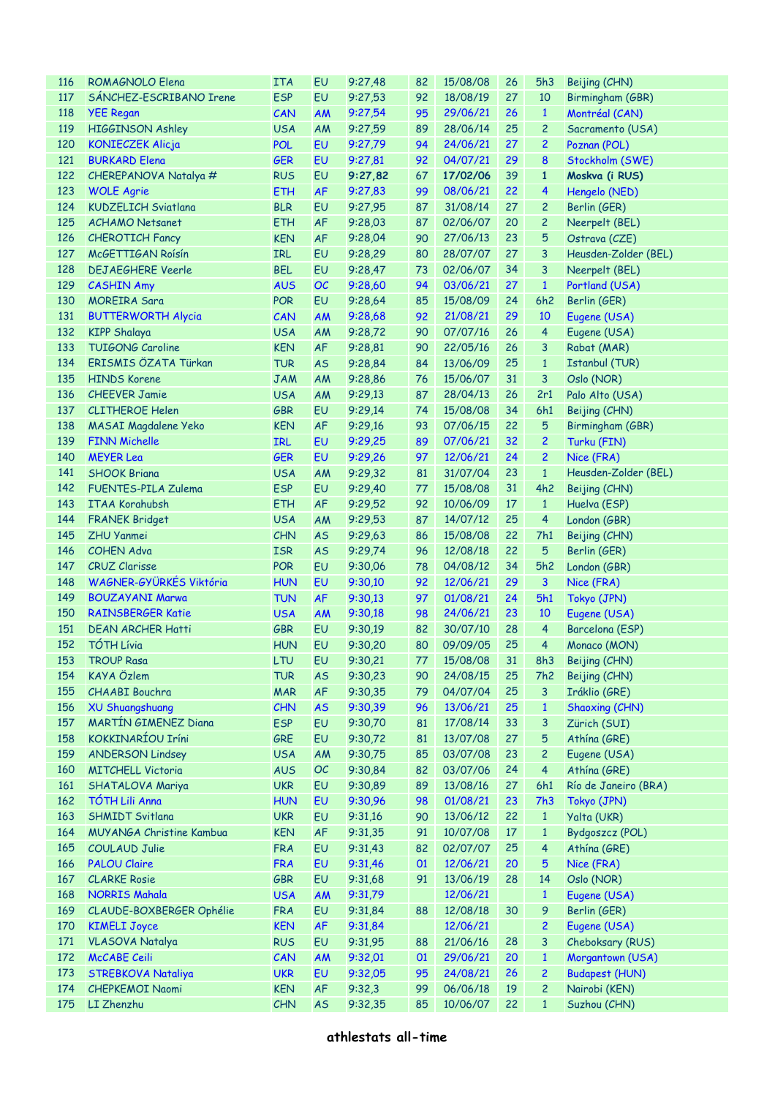| <b>116</b> | ROMAGNOLO Elena             | <b>ITA</b> | EU        | 9:27,48 | 82 | 15/08/08       | 26 | 5h3             | Beijing (CHN)         |
|------------|-----------------------------|------------|-----------|---------|----|----------------|----|-----------------|-----------------------|
| 117        | SÁNCHEZ-ESCRIBANO Irene     | <b>ESP</b> | EU        | 9:27,53 | 92 | 18/08/19       | 27 | 10              | Birmingham (GBR)      |
| 118        | <b>YEE Regan</b>            | CAN        | AM        | 9:27,54 | 95 | 29/06/21       | 26 | $\mathbf{1}$    | Montréal (CAN)        |
| 119        | HIGGINSON Ashley            | <b>USA</b> | AM        | 9:27,59 | 89 | 28/06/14       | 25 | $\overline{c}$  | Sacramento (USA)      |
| 120        | <b>KONIECZEK Alicja</b>     | <b>POL</b> | EU        | 9:27,79 | 94 | 24/06/21       | 27 | $\overline{2}$  | Poznan (POL)          |
| 121        | <b>BURKARD Elena</b>        | <b>GER</b> | EU        | 9:27,81 | 92 | 04/07/21       | 29 | 8               | Stockholm (SWE)       |
| 122        | CHEREPANOVA Natalya #       | <b>RUS</b> | EU        | 9:27,82 | 67 | 17/02/06       | 39 | $\mathbf{1}$    | Moskva (i RUS)        |
| 123        | <b>WOLE Agrie</b>           | <b>ETH</b> | <b>AF</b> | 9:27,83 | 99 | 08/06/21       | 22 | 4               | Hengelo (NED)         |
| 124        | <b>KUDZELICH Sviatlana</b>  | <b>BLR</b> | EU        | 9:27,95 | 87 | 31/08/14       | 27 | $\mathbf{2}$    | Berlin (GER)          |
| 125        | <b>ACHAMO Netsanet</b>      | <b>ETH</b> | <b>AF</b> | 9:28,03 | 87 | 02/06/07       | 20 | $\overline{c}$  | Neerpelt (BEL)        |
| 126        | <b>CHEROTICH Fancy</b>      | <b>KEN</b> | AF        | 9:28,04 | 90 | 27/06/13       | 23 | 5               | Ostrava (CZE)         |
| 127        | McGETTIGAN Roisin           | <b>IRL</b> | EU        | 9:28,29 | 80 | 28/07/07       | 27 | 3               | Heusden-Zolder (BEL)  |
| 128        | <b>DEJAEGHERE Veerle</b>    | <b>BEL</b> | EU        | 9:28,47 | 73 | 02/06/07       | 34 | 3               | Neerpelt (BEL)        |
| 129        | <b>CASHIN Amy</b>           | <b>AUS</b> | <b>OC</b> | 9:28,60 | 94 | 03/06/21       | 27 | $\mathbf{1}$    | Portland (USA)        |
| 130        | <b>MOREIRA Sara</b>         | <b>POR</b> | EU        | 9:28,64 | 85 | 15/08/09       | 24 | 6h2             | Berlin (GER)          |
|            |                             |            |           |         |    |                |    |                 |                       |
| 131        | <b>BUTTERWORTH Alycia</b>   | CAN        | AM        | 9:28,68 | 92 | 21/08/21       | 29 | 10              | Eugene (USA)          |
| 132        | <b>KIPP Shalaya</b>         | <b>USA</b> | AM        | 9:28,72 | 90 | 07/07/16       | 26 | $\overline{4}$  | Eugene (USA)          |
| 133        | <b>TUIGONG Caroline</b>     | <b>KEN</b> | AF        | 9:28,81 | 90 | 22/05/16       | 26 | 3               | Rabat (MAR)           |
| 134        | ERISMIS ÖZATA Türkan        | <b>TUR</b> | <b>AS</b> | 9:28,84 | 84 | 13/06/09       | 25 | $\mathbf{1}$    | <b>Istanbul (TUR)</b> |
| 135        | <b>HINDS Korene</b>         | <b>JAM</b> | AM        | 9:28,86 | 76 | 15/06/07       | 31 | 3               | Oslo (NOR)            |
| 136        | <b>CHEEVER Jamie</b>        | <b>USA</b> | AM        | 9:29,13 | 87 | 28/04/13       | 26 | 2r1             | Palo Alto (USA)       |
| 137        | <b>CLITHEROE Helen</b>      | <b>GBR</b> | EU        | 9:29,14 | 74 | 15/08/08       | 34 | 6h1             | Beijing (CHN)         |
| 138        | <b>MASAI Magdalene Yeko</b> | <b>KEN</b> | AF        | 9:29,16 | 93 | 07/06/15       | 22 | 5               | Birmingham (GBR)      |
| 139        | <b>FINN Michelle</b>        | <b>IRL</b> | EU        | 9:29,25 | 89 | 07/06/21       | 32 | $\mathbf{2}$    | Turku (FIN)           |
| 140        | <b>MEYER Lea</b>            | <b>GER</b> | EU        | 9:29,26 | 97 | 12/06/21       | 24 | $\overline{c}$  | Nice (FRA)            |
| 141        | <b>SHOOK Briana</b>         | <b>USA</b> | AM        | 9:29,32 | 81 | 31/07/04       | 23 | $\mathbf{1}$    | Heusden-Zolder (BEL)  |
| 142        | FUENTES-PILA Zulema         | <b>ESP</b> | EU        | 9:29,40 | 77 | 15/08/08       | 31 | 4h2             | Beijing (CHN)         |
| 143        | <b>ITAA Korahubsh</b>       | <b>ETH</b> | AF        | 9:29,52 | 92 | 10/06/09       | 17 | $\mathbf{1}$    | Huelva (ESP)          |
| 144        | <b>FRANEK Bridget</b>       | <b>USA</b> | AM        | 9:29,53 | 87 | 14/07/12       | 25 | $\overline{4}$  | London (GBR)          |
| 145        | <b>ZHU Yanmei</b>           | CHN        | <b>AS</b> | 9:29,63 | 86 | 15/08/08       | 22 | 7h1             | Beijing (CHN)         |
| 146        | <b>COHEN Adva</b>           | <b>ISR</b> | <b>AS</b> | 9:29,74 | 96 | 12/08/18       | 22 | 5               | Berlin (GER)          |
| 147        | <b>CRUZ Clarisse</b>        | <b>POR</b> | EU        | 9:30,06 | 78 | 04/08/12       | 34 | 5h2             | London (GBR)          |
| 148        | WAGNER-GYÜRKÉS Viktória     | <b>HUN</b> | EU        | 9:30,10 | 92 | 12/06/21       | 29 | $\mathbf{3}$    | Nice (FRA)            |
| 149        | <b>BOUZAYANI Marwa</b>      | <b>TUN</b> | <b>AF</b> | 9:30,13 | 97 | 01/08/21       | 24 | 5h1             | Tokyo (JPN)           |
| 150        | <b>RAINSBERGER Katie</b>    | <b>USA</b> | AM        | 9:30,18 | 98 | 24/06/21       | 23 | 10              | Eugene (USA)          |
| 151        | <b>DEAN ARCHER Hatti</b>    | <b>GBR</b> | EU        | 9:30,19 | 82 | 30/07/10       | 28 | $\overline{4}$  | Barcelona (ESP)       |
| 152        | <b>TÓTH Lívia</b>           | <b>HUN</b> | EU        | 9:30,20 | 80 | 09/09/05       | 25 | $\overline{4}$  | Monaco (MON)          |
| 153        | <b>TROUP Rasa</b>           | <b>LTU</b> | EU        | 9:30,21 |    | 77 15/08/08 31 |    |                 | 8h3 Beijing (CHN)     |
| 154        | KAYA Özlem                  | <b>TUR</b> | <b>AS</b> | 9:30,23 | 90 | 24/08/15       | 25 | 7h <sub>2</sub> | Beijing (CHN)         |
| 155        | <b>CHAABI Bouchra</b>       | <b>MAR</b> | AF        | 9:30,35 | 79 | 04/07/04       | 25 | 3               | Iráklio (GRE)         |
| 156        | <b>XU Shuangshuang</b>      | CHN        | <b>AS</b> | 9:30,39 | 96 | 13/06/21       | 25 | $\mathbf{1}$    | Shaoxing (CHN)        |
| 157        | <b>MARTÍN GIMENEZ Diana</b> | <b>ESP</b> | EU        | 9:30,70 | 81 | 17/08/14       | 33 | 3               | Zürich (SUI)          |
| 158        | KOKKINARÍOU Iríni           | GRE        | EU        | 9:30,72 | 81 | 13/07/08       | 27 | 5               | Athína (GRE)          |
| 159        | <b>ANDERSON Lindsey</b>     | <b>USA</b> | AM        | 9:30,75 | 85 | 03/07/08       | 23 | $\overline{c}$  | Eugene (USA)          |
|            |                             | <b>AUS</b> |           |         |    |                |    | $\overline{4}$  | Athína (GRE)          |
| 160        | <b>MITCHELL Victoria</b>    |            | OC        | 9:30,84 | 82 | 03/07/06       | 24 |                 |                       |
| 161        | <b>SHATALOVA Mariya</b>     | <b>UKR</b> | EU        | 9:30,89 | 89 | 13/08/16       | 27 | 6h1             | Río de Janeiro (BRA)  |
| 162        | TÓTH Lili Anna              | <b>HUN</b> | EU        | 9:30,96 | 98 | 01/08/21       | 23 | 7h3             | Tokyo (JPN)           |
| 163        | <b>SHMIDT Svitlana</b>      | <b>UKR</b> | EU        | 9:31,16 | 90 | 13/06/12       | 22 | $\mathbf{1}$    | Yalta (UKR)           |
| 164        | MUYANGA Christine Kambua    | <b>KEN</b> | AF        | 9:31,35 | 91 | 10/07/08       | 17 | $\mathbf{1}$    | Bydgoszcz (POL)       |
| 165        | <b>COULAUD Julie</b>        | <b>FRA</b> | EU        | 9:31,43 | 82 | 02/07/07       | 25 | $\overline{4}$  | Athína (GRE)          |
| 166        | <b>PALOU Claire</b>         | <b>FRA</b> | EU        | 9:31,46 | 01 | 12/06/21       | 20 | 5               | Nice (FRA)            |
| 167        | <b>CLARKE Rosie</b>         | <b>GBR</b> | EU        | 9:31,68 | 91 | 13/06/19       | 28 | 14              | Oslo (NOR)            |
| 168        | <b>NORRIS Mahala</b>        | <b>USA</b> | AM        | 9:31,79 |    | 12/06/21       |    | $\mathbf{1}$    | Eugene (USA)          |
| 169        | CLAUDE-BOXBERGER Ophélie    | <b>FRA</b> | EU        | 9:31,84 | 88 | 12/08/18       | 30 | 9               | Berlin (GER)          |
| 170        | <b>KIMELI Joyce</b>         | <b>KEN</b> | <b>AF</b> | 9:31,84 |    | 12/06/21       |    | $\overline{c}$  | Eugene (USA)          |
| 171        | <b>VLASOVA Natalya</b>      | <b>RUS</b> | EU        | 9:31,95 | 88 | 21/06/16       | 28 | 3               | Cheboksary (RUS)      |
| 172        | McCABE Ceili                | CAN        | <b>AM</b> | 9:32,01 | 01 | 29/06/21       | 20 | $\mathbf{1}$    | Morgantown (USA)      |
| 173        | <b>STREBKOVA Nataliya</b>   | <b>UKR</b> | EU        | 9:32,05 | 95 | 24/08/21       | 26 | $\overline{c}$  | <b>Budapest (HUN)</b> |
| 174        | <b>CHEPKEMOI Naomi</b>      | <b>KEN</b> | AF        | 9:32,3  | 99 | 06/06/18       | 19 | $\overline{c}$  | Nairobi (KEN)         |
| 175        | LI Zhenzhu                  | CHN        | <b>AS</b> | 9:32,35 | 85 | 10/06/07       | 22 | $\mathbf{1}$    | Suzhou (CHN)          |
|            |                             |            |           |         |    |                |    |                 |                       |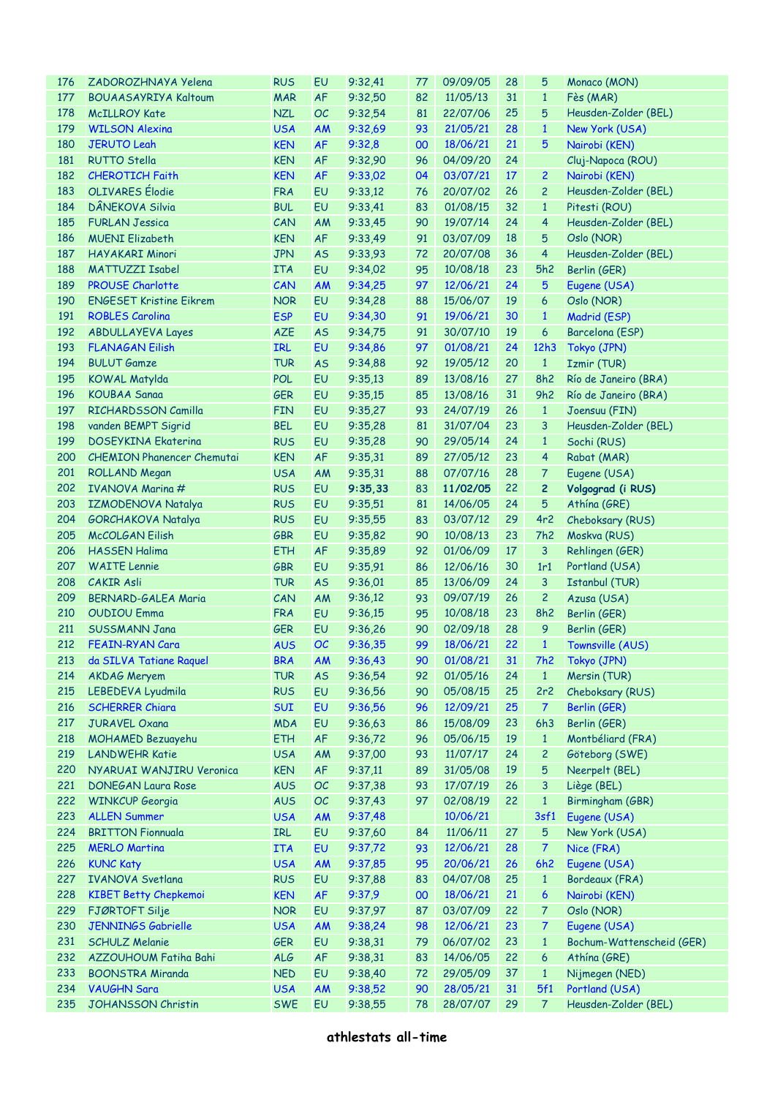| 176 | ZADOROZHNAYA Yelena               | <b>RUS</b> | EU        | 9:32,41        | 77 | 09/09/05      | 28 | 5                | Monaco (MON)              |
|-----|-----------------------------------|------------|-----------|----------------|----|---------------|----|------------------|---------------------------|
| 177 | <b>BOUAASAYRIYA Kaltoum</b>       | <b>MAR</b> | AF        | 9:32,50        | 82 | 11/05/13      | 31 | $\mathbf{1}$     | Fès (MAR)                 |
| 178 | <b>McILLROY Kate</b>              | <b>NZL</b> | OC        | 9:32,54        | 81 | 22/07/06      | 25 | 5                | Heusden-Zolder (BEL)      |
| 179 | <b>WILSON Alexina</b>             | <b>USA</b> | AM        | 9:32,69        | 93 | 21/05/21      | 28 | $\mathbf{1}$     | New York (USA)            |
| 180 | <b>JERUTO Leah</b>                | <b>KEN</b> | <b>AF</b> | 9:32,8         | 00 | 18/06/21      | 21 | 5                | Nairobi (KEN)             |
| 181 | <b>RUTTO Stella</b>               | <b>KEN</b> | <b>AF</b> | 9:32,90        | 96 | 04/09/20      | 24 |                  | Cluj-Napoca (ROU)         |
| 182 | <b>CHEROTICH Faith</b>            | <b>KEN</b> | <b>AF</b> | 9:33,02        | 04 | 03/07/21      | 17 | $\overline{2}$   | Nairobi (KEN)             |
| 183 | <b>OLIVARES</b> Élodie            | <b>FRA</b> | EU        | 9:33,12        | 76 | 20/07/02      | 26 | $\overline{c}$   | Heusden-Zolder (BEL)      |
| 184 | DÂNEKOVA Silvia                   | <b>BUL</b> | EU        | 9:33,41        | 83 | 01/08/15      | 32 | $\mathbf{1}$     | Pitesti (ROU)             |
| 185 | <b>FURLAN Jessica</b>             | CAN        | AM        | 9:33,45        | 90 | 19/07/14      | 24 | $\overline{4}$   | Heusden-Zolder (BEL)      |
| 186 | <b>MUENI Elizabeth</b>            | <b>KEN</b> | AF        | 9:33,49        | 91 | 03/07/09      | 18 | 5                | Oslo (NOR)                |
| 187 | <b>HAYAKARI Minori</b>            | <b>JPN</b> | <b>AS</b> | 9:33.93        | 72 | 20/07/08      | 36 | $\overline{4}$   | Heusden-Zolder (BEL)      |
| 188 | <b>MATTUZZI Isabel</b>            | <b>ITA</b> | EU        | 9:34,02        | 95 | 10/08/18      | 23 | 5h2              | Berlin (GER)              |
| 189 | <b>PROUSE Charlotte</b>           | CAN        | <b>AM</b> | 9:34,25        | 97 | 12/06/21      | 24 | 5                | Eugene (USA)              |
| 190 | <b>ENGESET Kristine Eikrem</b>    | <b>NOR</b> | EU        | 9:34,28        | 88 | 15/06/07      | 19 | 6                | Oslo (NOR)                |
|     |                                   | <b>ESP</b> |           |                |    |               | 30 |                  |                           |
| 191 | <b>ROBLES Carolina</b>            |            | EU        | 9:34,30        | 91 | 19/06/21      |    | $\mathbf{1}$     | Madrid (ESP)              |
| 192 | <b>ABDULLAYEVA Layes</b>          | <b>AZE</b> | <b>AS</b> | 9:34,75        | 91 | 30/07/10      | 19 | 6                | Barcelona (ESP)           |
| 193 | <b>FLANAGAN Eilish</b>            | <b>IRL</b> | EU        | 9:34,86        | 97 | 01/08/21      | 24 | 12h3             | Tokyo (JPN)               |
| 194 | <b>BULUT Gamze</b>                | <b>TUR</b> | <b>AS</b> | 9:34,88        | 92 | 19/05/12      | 20 | $\mathbf{1}$     | <b>Izmir (TUR)</b>        |
| 195 | <b>KOWAL Matylda</b>              | <b>POL</b> | EU        | 9:35,13        | 89 | 13/08/16      | 27 | 8h2              | Río de Janeiro (BRA)      |
| 196 | <b>KOUBAA Sanaa</b>               | <b>GER</b> | EU        | 9:35,15        | 85 | 13/08/16      | 31 | 9h2              | Río de Janeiro (BRA)      |
| 197 | RICHARDSSON Camilla               | <b>FIN</b> | EU        | 9:35,27        | 93 | 24/07/19      | 26 | $\mathbf{1}$     | Joensuu (FIN)             |
| 198 | vanden BEMPT Sigrid               | <b>BEL</b> | EU        | 9:35,28        | 81 | 31/07/04      | 23 | 3                | Heusden-Zolder (BEL)      |
| 199 | <b>DOSEYKINA Ekaterina</b>        | <b>RUS</b> | EU        | 9:35,28        | 90 | 29/05/14      | 24 | $\mathbf{1}$     | Sochi (RUS)               |
| 200 | <b>CHEMION Phanencer Chemutai</b> | <b>KEN</b> | AF        | 9:35,31        | 89 | 27/05/12      | 23 | $\overline{4}$   | Rabat (MAR)               |
| 201 | ROLLAND Megan                     | <b>USA</b> | AM        | 9:35,31        | 88 | 07/07/16      | 28 | $\mathcal{I}$    | Eugene (USA)              |
| 202 | <b>IVANOVA Marina #</b>           | <b>RUS</b> | EU        | 9:35,33        | 83 | 11/02/05      | 22 | $\overline{c}$   | Volgograd (i RUS)         |
| 203 | <b>IZMODENOVA Natalya</b>         | <b>RUS</b> | EU        | 9:35,51        | 81 | 14/06/05      | 24 | 5                | Athína (GRE)              |
| 204 | <b>GORCHAKOVA Natalya</b>         | <b>RUS</b> | EU        | 9:35,55        | 83 | 03/07/12      | 29 | 4r <sub>2</sub>  | Cheboksary (RUS)          |
| 205 | <b>McCOLGAN Eilish</b>            | <b>GBR</b> | EU        | 9:35,82        | 90 | 10/08/13      | 23 | 7h <sub>2</sub>  | Moskva (RUS)              |
| 206 | <b>HASSEN Halima</b>              | <b>ETH</b> | AF        | 9:35,89        | 92 | 01/06/09      | 17 | $\mathbf{3}$     | Rehlingen (GER)           |
| 207 | <b>WAITE Lennie</b>               | <b>GBR</b> | EU        | 9:35,91        | 86 | 12/06/16      | 30 | 1r1              | Portland (USA)            |
| 208 | <b>CAKIR Asli</b>                 | <b>TUR</b> | <b>AS</b> | 9:36,01        | 85 | 13/06/09      | 24 | 3                | <b>Istanbul (TUR)</b>     |
| 209 | <b>BERNARD-GALEA Maria</b>        | CAN        | AM        | 9:36,12        | 93 | 09/07/19      | 26 | $\overline{c}$   | Azusa (USA)               |
| 210 | <b>OUDIOU Emma</b>                | <b>FRA</b> | EU        | 9:36,15        | 95 | 10/08/18      | 23 | 8h2              | Berlin (GER)              |
| 211 | <b>SUSSMANN Jana</b>              | <b>GER</b> | EU        | 9:36,26        | 90 | 02/09/18      | 28 | 9                | Berlin (GER)              |
| 212 | FEAIN-RYAN Cara                   | <b>AUS</b> | OC        | 9:36,35        | 99 | 18/06/21      | 22 | $\mathbf{1}$     | Townsville (AUS)          |
|     | 213 da SILVA Tatiane Raquel       |            |           | BRA AM 9:36,43 | 90 | $01/08/21$ 31 |    |                  | 7h2 Tokyo (JPN)           |
| 214 | <b>AKDAG Meryem</b>               | <b>TUR</b> | <b>AS</b> | 9:36,54        | 92 | 01/05/16      | 24 | $\mathbf{1}$     | Mersin (TUR)              |
| 215 | LEBEDEVA Lyudmila                 | <b>RUS</b> | EU        | 9:36,56        | 90 | 05/08/15      | 25 | 2r <sub>2</sub>  | Cheboksary (RUS)          |
| 216 | <b>SCHERRER Chiara</b>            | <b>SUI</b> | EU        | 9:36,56        | 96 | 12/09/21      | 25 | $\overline{7}$   | Berlin (GER)              |
| 217 | <b>JURAVEL Oxana</b>              | <b>MDA</b> | EU        | 9:36,63        | 86 | 15/08/09      | 23 | 6h3              | Berlin (GER)              |
| 218 |                                   | <b>ETH</b> | <b>AF</b> | 9:36,72        | 96 | 05/06/15      | 19 |                  | Montbéliard (FRA)         |
|     | MOHAMED Bezuayehu                 |            |           |                |    |               | 24 | $\mathbf{1}$     | Göteborg (SWE)            |
| 219 | <b>LANDWEHR Katie</b>             | <b>USA</b> | <b>AM</b> | 9:37,00        | 93 | 11/07/17      |    | $\overline{c}$   |                           |
| 220 | NYARUAI WANJIRU Veronica          | <b>KEN</b> | <b>AF</b> | 9:37,11        | 89 | 31/05/08      | 19 | 5                | Neerpelt (BEL)            |
| 221 | <b>DONEGAN Laura Rose</b>         | <b>AUS</b> | OC        | 9:37,38        | 93 | 17/07/19      | 26 | 3                | Liège (BEL)               |
| 222 | <b>WINKCUP Georgia</b>            | <b>AUS</b> | OC        | 9:37,43        | 97 | 02/08/19      | 22 | $\mathbf{1}$     | Birmingham (GBR)          |
| 223 | <b>ALLEN Summer</b>               | <b>USA</b> | <b>AM</b> | 9:37,48        |    | 10/06/21      |    | 3sf1             | Eugene (USA)              |
| 224 | <b>BRITTON Fionnuala</b>          | IRL        | EU        | 9:37,60        | 84 | 11/06/11      | 27 | 5                | New York (USA)            |
| 225 | <b>MERLO Martina</b>              | <b>ITA</b> | EU        | 9:37,72        | 93 | 12/06/21      | 28 | $\overline{7}$   | Nice (FRA)                |
| 226 | <b>KUNC Katy</b>                  | <b>USA</b> | AM        | 9:37,85        | 95 | 20/06/21      | 26 | 6h2              | Eugene (USA)              |
| 227 | <b>IVANOVA Svetlana</b>           | <b>RUS</b> | EU        | 9:37,88        | 83 | 04/07/08      | 25 | $\mathbf{1}$     | Bordeaux (FRA)            |
| 228 | <b>KIBET Betty Chepkemoi</b>      | <b>KEN</b> | <b>AF</b> | 9:37,9         | 00 | 18/06/21      | 21 | $\epsilon$       | Nairobi (KEN)             |
| 229 | FJØRTOFT Silje                    | <b>NOR</b> | EU        | 9:37,97        | 87 | 03/07/09      | 22 | $\overline{7}$   | Oslo (NOR)                |
| 230 | <b>JENNINGS Gabrielle</b>         | <b>USA</b> | AM        | 9:38,24        | 98 | 12/06/21      | 23 | 7                | Eugene (USA)              |
| 231 | <b>SCHULZ Melanie</b>             | <b>GER</b> | EU        | 9:38,31        | 79 | 06/07/02      | 23 | $\mathbf{1}$     | Bochum-Wattenscheid (GER) |
| 232 | AZZOUHOUM Fatiha Bahi             | ALG        | <b>AF</b> | 9:38,31        | 83 | 14/06/05      | 22 | $\boldsymbol{6}$ | Athína (GRE)              |
| 233 | <b>BOONSTRA Miranda</b>           | <b>NED</b> | EU        | 9:38,40        | 72 | 29/05/09      | 37 | $\mathbf{1}$     | Nijmegen (NED)            |
| 234 | <b>VAUGHN Sara</b>                | <b>USA</b> | AM        | 9:38,52        | 90 | 28/05/21      | 31 | 5f1              | Portland (USA)            |
| 235 | <b>JOHANSSON Christin</b>         | <b>SWE</b> | EU        | 9:38,55        | 78 | 28/07/07      | 29 | $\overline{7}$   | Heusden-Zolder (BEL)      |
|     |                                   |            |           |                |    |               |    |                  |                           |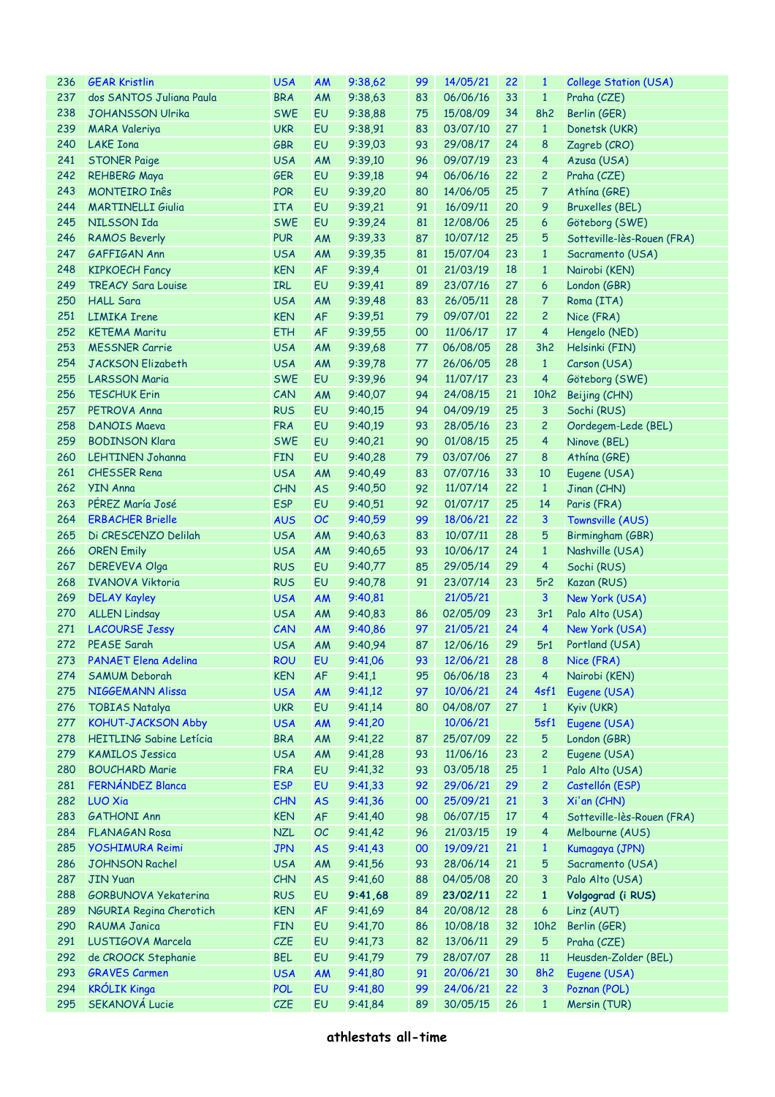| 236 | <b>GEAR Kristlin</b>           | <b>USA</b> | AM        | 9:38,62                   | 99 | 14/05/21 | 22              | $\mathbf{1}$     | <b>College Station (USA)</b> |
|-----|--------------------------------|------------|-----------|---------------------------|----|----------|-----------------|------------------|------------------------------|
| 237 | dos SANTOS Juliana Paula       | <b>BRA</b> | AM        | 9:38,63                   | 83 | 06/06/16 | 33              | $\mathbf{1}$     | Praha (CZE)                  |
| 238 | <b>JOHANSSON Ulrika</b>        | <b>SWE</b> | EU        | 9:38,88                   | 75 | 15/08/09 | 34              | 8h2              | Berlin (GER)                 |
| 239 | <b>MARA Valeriya</b>           | <b>UKR</b> | EU        | 9:38,91                   | 83 | 03/07/10 | 27              | $\mathbf{1}$     | Donetsk (UKR)                |
| 240 | <b>LAKE</b> Iona               | <b>GBR</b> | EU        | 9:39,03                   | 93 | 29/08/17 | 24              | 8                | Zagreb (CRO)                 |
| 241 | <b>STONER Paige</b>            | <b>USA</b> | AM        | 9:39,10                   | 96 | 09/07/19 | 23              | $\overline{4}$   | Azusa (USA)                  |
| 242 | <b>REHBERG Maya</b>            | <b>GER</b> | EU        | 9:39,18                   | 94 | 06/06/16 | 22              | $\overline{2}$   | Praha (CZE)                  |
| 243 | <b>MONTEIRO Inês</b>           | <b>POR</b> | EU        | 9:39,20                   | 80 | 14/06/05 | 25              | $\overline{7}$   | Athína (GRE)                 |
| 244 | <b>MARTINELLI Giulia</b>       | <b>ITA</b> | EU        | 9:39,21                   | 91 | 16/09/11 | 20              | 9                | <b>Bruxelles (BEL)</b>       |
| 245 | NILSSON Ida                    | <b>SWE</b> | EU        | 9:39,24                   | 81 | 12/08/06 | 25              | $\boldsymbol{6}$ | Göteborg (SWE)               |
| 246 | <b>RAMOS Beverly</b>           | <b>PUR</b> | AM        | 9:39,33                   | 87 | 10/07/12 | 25              | 5                | Sotteville-lès-Rouen (FRA)   |
| 247 | GAFFIGAN Ann                   | <b>USA</b> | AM        | 9:39,35                   | 81 | 15/07/04 | 23              | $\mathbf{1}$     | Sacramento (USA)             |
| 248 | <b>KIPKOECH Fancy</b>          | <b>KEN</b> | <b>AF</b> | 9:39,4                    | 01 | 21/03/19 | 18              | $\mathbf{1}$     | Nairobi (KEN)                |
| 249 | <b>TREACY Sara Louise</b>      | IRL        | EU        | 9:39,41                   | 89 | 23/07/16 | 27              | $\boldsymbol{6}$ | London (GBR)                 |
| 250 | <b>HALL Sara</b>               | <b>USA</b> | AM        | 9:39,48                   | 83 | 26/05/11 | 28              | $\overline{7}$   | Roma (ITA)                   |
| 251 | <b>LIMIKA Irene</b>            | <b>KEN</b> | <b>AF</b> | 9:39,51                   | 79 | 09/07/01 | 22              | $\overline{c}$   | Nice (FRA)                   |
| 252 | <b>KETEMA Maritu</b>           | <b>ETH</b> | <b>AF</b> |                           | 00 | 11/06/17 | 17 <sup>2</sup> | $\overline{4}$   | Hengelo (NED)                |
|     | <b>MESSNER Carrie</b>          |            |           | 9:39,55                   |    |          | 28              |                  |                              |
| 253 |                                | <b>USA</b> | AM        | 9:39,68                   | 77 | 06/08/05 |                 | 3h2              | Helsinki (FIN)               |
| 254 | <b>JACKSON Elizabeth</b>       | <b>USA</b> | AM        | 9:39,78                   | 77 | 26/06/05 | 28              | $\mathbf{1}$     | Carson (USA)                 |
| 255 | <b>LARSSON Maria</b>           | <b>SWE</b> | EU        | 9:39,96                   | 94 | 11/07/17 | 23              | $\overline{4}$   | Göteborg (SWE)               |
| 256 | <b>TESCHUK Erin</b>            | CAN        | AM        | 9:40,07                   | 94 | 24/08/15 | 21              | 10h2             | Beijing (CHN)                |
| 257 | PETROVA Anna                   | <b>RUS</b> | EU        | 9:40,15                   | 94 | 04/09/19 | 25              | 3                | Sochi (RUS)                  |
| 258 | <b>DANOIS Maeva</b>            | <b>FRA</b> | EU        | 9:40,19                   | 93 | 28/05/16 | 23              | $\overline{c}$   | Oordegem-Lede (BEL)          |
| 259 | <b>BODINSON Klara</b>          | <b>SWE</b> | EU        | 9:40,21                   | 90 | 01/08/15 | 25              | $\overline{4}$   | Ninove (BEL)                 |
| 260 | <b>LEHTINEN Johanna</b>        | <b>FIN</b> | EU        | 9:40,28                   | 79 | 03/07/06 | 27              | 8                | Athína (GRE)                 |
| 261 | <b>CHESSER Rena</b>            | <b>USA</b> | AM        | 9:40,49                   | 83 | 07/07/16 | 33              | 10               | Eugene (USA)                 |
| 262 | <b>YIN Anna</b>                | CHN        | <b>AS</b> | 9:40,50                   | 92 | 11/07/14 | 22              | $\mathbf{1}$     | Jinan (CHN)                  |
| 263 | PÉREZ María José               | <b>ESP</b> | EU        | 9:40,51                   | 92 | 01/07/17 | 25              | 14               | Paris (FRA)                  |
| 264 | <b>ERBACHER Brielle</b>        | <b>AUS</b> | OC        | 9:40,59                   | 99 | 18/06/21 | 22              | 3                | Townsville (AUS)             |
| 265 | Di CRESCENZO Delilah           | <b>USA</b> | AM        | 9:40,63                   | 83 | 10/07/11 | 28              | 5                | Birmingham (GBR)             |
| 266 | <b>OREN Emily</b>              | <b>USA</b> | AM        | 9:40,65                   | 93 | 10/06/17 | 24              | $\mathbf{1}$     | Nashville (USA)              |
| 267 | <b>DEREVEVA Olga</b>           | <b>RUS</b> | EU        | 9:40,77                   | 85 | 29/05/14 | 29              | $\overline{4}$   | Sochi (RUS)                  |
| 268 | <b>IVANOVA Viktoria</b>        | <b>RUS</b> | EU        | 9:40,78                   | 91 | 23/07/14 | 23              | 5r2              | Kazan (RUS)                  |
| 269 | <b>DELAY Kayley</b>            | <b>USA</b> | <b>AM</b> | 9:40,81                   |    | 21/05/21 |                 | $\mathbf{3}$     | New York (USA)               |
| 270 | <b>ALLEN Lindsay</b>           | <b>USA</b> | AM        | 9:40,83                   | 86 | 02/05/09 | 23              | 3r1              | Palo Alto (USA)              |
| 271 | <b>LACOURSE Jessy</b>          | CAN        | AM        | 9:40,86                   | 97 | 21/05/21 | 24              | $\overline{4}$   | New York (USA)               |
| 272 | PEASE Sarah                    | <b>USA</b> | AM        | 9:40,94                   | 87 | 12/06/16 | 29              | 5r1              | Portland (USA)               |
|     | 273 PANAET Elena Adelina       | <b>ROU</b> |           | EU 9:41,06 93 12/06/21 28 |    |          |                 |                  | 8 Nice (FRA)                 |
| 274 | SAMUM Deborah                  | <b>KEN</b> | AF        | 9:41,1                    | 95 | 06/06/18 | 23              | $\overline{4}$   | Nairobi (KEN)                |
| 275 | NIGGEMANN Alissa               | <b>USA</b> | <b>AM</b> | 9:41,12                   | 97 | 10/06/21 | 24              | 4sf1             | Eugene (USA)                 |
| 276 | <b>TOBIAS Natalya</b>          | <b>UKR</b> | EU        | 9:41,14                   | 80 | 04/08/07 | 27              | $\mathbf{1}$     | Kyiv (UKR)                   |
| 277 | <b>KOHUT-JACKSON Abby</b>      | <b>USA</b> | <b>AM</b> | 9:41,20                   |    | 10/06/21 |                 | 5sf1             | Eugene (USA)                 |
| 278 | <b>HEITLING Sabine Letícia</b> | <b>BRA</b> | AM        | 9:41,22                   | 87 | 25/07/09 | 22              | 5                | London (GBR)                 |
| 279 | <b>KAMILOS Jessica</b>         | <b>USA</b> | AM        | 9:41,28                   | 93 | 11/06/16 | 23              | $\overline{c}$   | Eugene (USA)                 |
| 280 | <b>BOUCHARD Marie</b>          | <b>FRA</b> | EU        | 9:41,32                   | 93 | 03/05/18 | 25              | $\mathbf{1}$     | Palo Alto (USA)              |
| 281 | FERNÁNDEZ Blanca               | <b>ESP</b> | EU        | 9:41,33                   | 92 | 29/06/21 | 29              | $\overline{c}$   | Castellón (ESP)              |
| 282 | <b>LUO Xia</b>                 | CHN        | <b>AS</b> | 9:41,36                   | 00 | 25/09/21 | 21              | 3                | Xi'an (CHN)                  |
| 283 | <b>GATHONI Ann</b>             | <b>KEN</b> | AF        | 9:41,40                   | 98 | 06/07/15 | 17              | $\overline{4}$   | Sotteville-lès-Rouen (FRA)   |
| 284 | <b>FLANAGAN Rosa</b>           | <b>NZL</b> | OC        | 9:41,42                   | 96 | 21/03/15 | 19              | $\overline{4}$   | Melbourne (AUS)              |
| 285 | <b>YOSHIMURA Reimi</b>         | <b>JPN</b> | <b>AS</b> | 9:41,43                   | 00 | 19/09/21 | 21              | $\mathbf{1}$     | Kumagaya (JPN)               |
| 286 | <b>JOHNSON Rachel</b>          | <b>USA</b> | AM        | 9:41,56                   | 93 | 28/06/14 | 21              | 5                | Sacramento (USA)             |
| 287 | <b>JIN Yuan</b>                | CHN        | <b>AS</b> | 9:41,60                   | 88 | 04/05/08 | 20              | 3                | Palo Alto (USA)              |
| 288 | <b>GORBUNOVA Yekaterina</b>    | <b>RUS</b> | EU        | 9:41,68                   | 89 | 23/02/11 | 22              | $\mathbf{1}$     | Volgograd (i RUS)            |
| 289 |                                | <b>KEN</b> |           | 9:41,69                   |    | 20/08/12 | 28              | 6                | Linz (AUT)                   |
|     | NGURIA Regina Cherotich        |            | AF        |                           | 84 | 10/08/18 |                 |                  |                              |
| 290 | RAUMA Janica                   | <b>FIN</b> | EU        | 9:41,70                   | 86 |          | 32              | 10h2             | Berlin (GER)                 |
| 291 | LUSTIGOVA Marcela              | <b>CZE</b> | EU        | 9:41,73                   | 82 | 13/06/11 | 29              | 5                | Praha (CZE)                  |
| 292 | de CROOCK Stephanie            | <b>BEL</b> | EU        | 9:41,79                   | 79 | 28/07/07 | 28              | 11               | Heusden-Zolder (BEL)         |
| 293 | <b>GRAVES Carmen</b>           | <b>USA</b> | AM        | 9:41,80                   | 91 | 20/06/21 | 30              | <b>8h2</b>       | Eugene (USA)                 |
| 294 | <b>KRÓLIK Kinga</b>            | <b>POL</b> | EU        | 9:41,80                   | 99 | 24/06/21 | 22              | $\mathbf{3}$     | Poznan (POL)                 |
| 295 | SEKANOVÁ Lucie                 | <b>CZE</b> | EU        | 9:41,84                   | 89 | 30/05/15 | 26              | $\mathbf{1}$     | Mersin (TUR)                 |